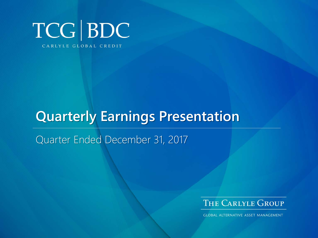

# **Quarterly Earnings Presentation**

Quarter Ended December 31, 2017



**GLOBAL ALTERNATIVE ASSET MANAGEMENT**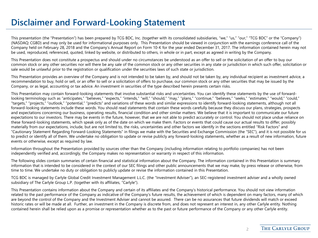# **Disclaimer and Forward-Looking Statement**

This presentation (the "Presentation") has been prepared by TCG BDC, Inc. (together with its consolidated subsidiaries, "we," "us," "our," "TCG BDC" or the "Company") (NASDAQ: CGBD) and may only be used for informational purposes only. This Presentation should be viewed in conjunction with the earnings conference call of the Company held on February 28, 2018 and the Company's Annual Report on Form 10-K for the year ended December 31, 2017. The information contained herein may not be used, reproduced, referenced, quoted, linked by website, or distributed to others, in whole or in part, except as agreed in writing by the Company.

This Presentation does not constitute a prospectus and should under no circumstances be understood as an offer to sell or the solicitation of an offer to buy our common stock or any other securities nor will there be any sale of the common stock or any other securities in any state or jurisdiction in which such offer, solicitation or sale would be unlawful prior to the registration or qualification under the securities laws of such state or jurisdiction.

This Presentation provides an overview of the Company and is not intended to be taken by, and should not be taken by, any individual recipient as investment advice, a recommendation to buy, hold or sell, or an offer to sell or a solicitation of offers to purchase, our common stock or any other securities that may be issued by the Company, or as legal, accounting or tax advice. An investment in securities of the type described herein presents certain risks.

This Presentation may contain forward-looking statements that involve substantial risks and uncertainties. You can identify these statements by the use of forwardlooking terminology such as "anticipates," "believes," "expects," "intends," "will," "should," "may," "plans," "continue," "believes," "seeks," "estimates," "would," "could," "targets," "projects," "outlook," "potential," "predicts" and variations of these words and similar expressions to identify forward-looking statements, although not all forward-looking statements include these words. You should read statements that contain these words carefully because they discuss our plans, strategies, prospects and expectations concerning our business, operating results, financial condition and other similar matters. We believe that it is important to communicate our future expectations to our investors. There may be events in the future, however, that we are not able to predict accurately or control. You should not place undue reliance on these forward-looking statements, which speak only as of the date on which we make them. Factors or events that could cause our actual results to differ, possibly materially from our expectations, include, but are not limited to, the risks, uncertainties and other factors we identify in the sections entitled "Risk Factors" and "Cautionary Statement Regarding Forward-Looking Statements" in filings we make with the Securities and Exchange Commission (the "SEC"), and it is not possible for us to predict or identify all of them. We undertake no obligation to update or revise publicly any forward-looking statements, whether as a result of new information, future events or otherwise, except as required by law.

Information throughout the Presentation provided by sources other than the Company (including information relating to portfolio companies) has not been independently verified and, accordingly, the Company makes no representation or warranty in respect of this information.

The following slides contain summaries of certain financial and statistical information about the Company. The information contained in this Presentation is summary information that is intended to be considered in the context of our SEC filings and other public announcements that we may make, by press release or otherwise, from time to time. We undertake no duty or obligation to publicly update or revise the information contained in this Presentation.

TCG BDC is managed by Carlyle Global Credit Investment Management L.L.C. (the "Investment Adviser"), an SEC-registered investment adviser and a wholly owned subsidiary of The Carlyle Group L.P. (together with its affiliates, "Carlyle").

This Presentation contains information about the Company and certain of its affiliates and the Company's historical performance. You should not view information related to the past performance of the Company as indicative of the Company's future results, the achievement of which is dependent on many factors, many of which are beyond the control of the Company and the Investment Adviser and cannot be assured. There can be no assurances that future dividends will match or exceed historic rates or will be made at all. Further, an investment in the Company is discrete from, and does not represent an interest in, any other Carlyle entity. Nothing contained herein shall be relied upon as a promise or representation whether as to the past or future performance of the Company or any other Carlyle entity.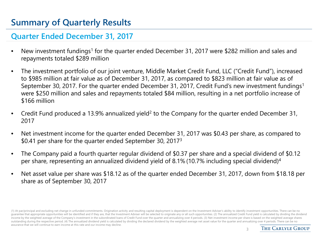# **Summary of Quarterly Results**

### **Quarter Ended December 31, 2017**

- New investment fundings<sup>1</sup> for the quarter ended December 31, 2017 were \$282 million and sales and repayments totaled \$289 million
- The investment portfolio of our joint venture, Middle Market Credit Fund, LLC ("Credit Fund"), increased to \$985 million at fair value as of December 31, 2017, as compared to \$823 million at fair value as of September 30, 2017. For the quarter ended December 31, 2017, Credit Fund's new investment fundings<sup>1</sup> were \$250 million and sales and repayments totaled \$84 million, resulting in a net portfolio increase of \$166 million
- Credit Fund produced a 13.9% annualized yield<sup>2</sup> to the Company for the quarter ended December 31, 2017
- Net investment income for the quarter ended December 31, 2017 was \$0.43 per share, as compared to \$0.41 per share for the quarter ended September 30, 20173
- The Company paid a fourth quarter regular dividend of \$0.37 per share and a special dividend of \$0.12 per share, representing an annualized dividend yield of 8.1% (10.7% including special dividend)4
- Net asset value per share was \$18.12 as of the quarter ended December 31, 2017, down from \$18.18 per share as of September 30, 2017

(1) At par/principal and excluding net change in unfunded commitments. Origination activity and resulting capital deployment is dependent on the Investment Adviser's ability to identify investment opportunities. There can quarantee that appropriate opportunities will be identified and if they are, that the Investment Adviser will be selected to originate any or all such opportunities. (2) The annualized Credit Fund yield is calculated by di income by the weighted average of the Company's investment in the subordinated loans of Credit Fund over the quarter and annualizing over 4 periods. (3) Net investment income per share is based on the weighted average shar outstanding during the respective period. (4) The annualized dividend yield is calculated by dividing the declared dividend by the weighted average net asset value for the quarter and annualizing over 4 periods. There can assurance that we will continue to earn income at this rate and our income may decline.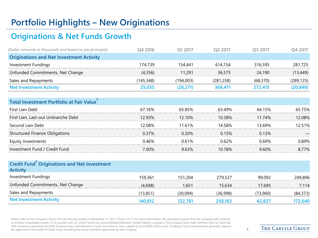# **Portfolio Highlights – New Originations**

## **Originations & Net Funds Growth**

| (Dollar amounts in thousands and based on par/principal) | O4 2016   | O1 2017   | O <sub>2</sub> 2017 | O3 2017  | Q4 2017    |
|----------------------------------------------------------|-----------|-----------|---------------------|----------|------------|
| <b>Originations and Net Investment Activity</b>          |           |           |                     |          |            |
| Investment Fundings                                      | 174.739   | 154.441   | 614.154             | 316,595  | 281,725    |
| Unfunded Commitments, Net Change                         | (4,356)   | 11,291    | 36,575              | 24.190   | (13, 449)  |
| Sales and Repayments                                     | (145,348) | (194,003) | (281, 258)          | (68.370) | (289, 125) |
| <b>Net Investment Activity</b>                           | 25,035    | (28, 271) | 369.471             | 272.415  | (20, 849)  |

| Total Investment Portfolio at Fair Value |        |               |        |        |        |
|------------------------------------------|--------|---------------|--------|--------|--------|
| First Lien Debt                          | 67.16% | 65.85%        | 63.49% | 64.15% | 65.75% |
| First Lien, Last-out Unitranche Debt     | 12 ዓ3% | $12.10\%$     | 10.38% | 11.74% | 12 በጸ% |
| Second Lien Debt                         | 12.08% | 11.61%        | 14 58% | I3.69% | 2.51%  |
| <b>Structured Finance Obligations</b>    | በ 37%  | <u>በ 20% </u> | 0.15%  | 0.13%  |        |
| Equity Investments                       | ገ 46%  | 0.61%         | በ 62%  | በ 69%  | በ ጸዓ%  |
| Investment Fund / Credit Fund            | 7 በበ%  | 963%          | 10 78% | 9.60%  | 8 77%  |
|                                          |        |               |        |        |        |

| <b>Credit Fund<sup>2</sup> Originations and Net Investment</b><br><b>Activity</b> |          |          |          |          |           |
|-----------------------------------------------------------------------------------|----------|----------|----------|----------|-----------|
| Investment Fundings                                                               | 159.361  | 151.204  | 279.527  | 99.092   | 249,896   |
| Unfunded Commitments, Net Change                                                  | (4.698)  | 1.651    | 15.634   | 17.695   | 7.114     |
| Sales and Repayments                                                              | (13,851) | (30,094) | (36,998) | (73,960) | (84, 373) |
| <b>Net Investment Activity</b>                                                    | 140,812  | 122.761  | 258,163  | 42,827   | 172,640   |

Please refer to the Company's Form 10-K for the year ended on December 31, 2017 ("Form 10-K") for more information. No assurance is given that the Company will continue to achieve comparable results. (1) At quarter end. (2) Credit Fund is an unconsolidated Delaware limited liability company. The Company and Credit Partners USA LLC each has 50% economic ownership of Credit Fund and has commitments to fund, from time to time, capital of up to \$400 million each. Funding of such commitments generally requires the approval of the board of Credit Fund, including the board members appointed by the Company. 4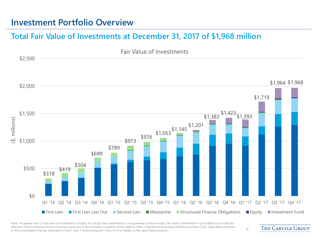### **Investment Portfolio Overview**

#### **Total Fair Value of Investments at December 31, 2017 of \$1,968 million**



Note: At quarter end. (1) Fair value of investments is subject to change. Past performance is no quarantee of future results. Fair value is determined in good faith by or under the direction of the Company's board of directors pursuant to the Company's valuation policy. Refer to Note 2 (Significant Accounting Policies) and Note 3 (Fair Value Measurements) affection of the company's board of directors pursuant to the company's valuation policy. Refer to Note 2 (significant Accounting Policies) and Note 5 (Fair value measurements) 5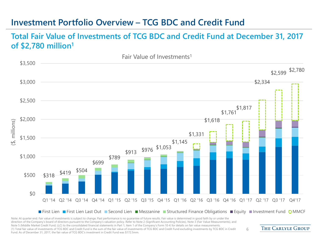# **Investment Portfolio Overview – TCG BDC and Credit Fund**

#### **Total Fair Value of Investments of TCG BDC and Credit Fund at December 31, 2017 of \$2,780 million1**



Note: At quarter end. Fair value of investments is subject to change. Past performance is no guarantee of future results. Fair value is determined in good faith by or under the direction of the Company's board of directors pursuant to the Company's valuation policy. Refer to Note 2 (Significant Accounting Policies), Note 3 (Fair Value Measurements), and Note 5 (Middle Market Credit Fund, LLC) to the consolidated financial statements in Part 1, Item 1 of the Company's Form 10-K for details on fair value measurements. (1) Total fair value of investments of TCG BDC and Credit Fund is the sum of the fair value of investments of TCG BDC and Credit Fund excluding investments by TCG BDC in Credit Fund. As of December 31, 2017, the fair value of TCG BDC's investment in Credit Fund was \$172.5mm.

**THE CARLYLE GROUP**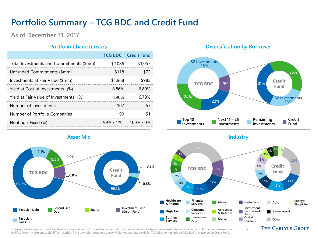# **Portfolio Summary – TCG BDC and Credit Fund**

**As of December 31, 2017**

|                                                     |         | <b>TCG BDC</b> Credit Fund |
|-----------------------------------------------------|---------|----------------------------|
| Total Investments and Commitments (\$mm)            | \$2,086 | \$1.057                    |
| Unfunded Commitments (\$mm)                         | \$118   |                            |
| Investments at Fair Value (\$mm)                    | \$1.968 |                            |
| Yield at Cost of Investments <sup>1</sup> (%)       | 8.86%   | 6 80%                      |
| Yield at Fair Value of Investments <sup>1</sup> (%) | 8.90%   |                            |
| Number of Investments                               |         |                            |
| Number of Portfolio Companies                       |         |                            |
| Floating / Fixed (%)                                |         | $99\%$ / 1% 100% / 0%      |
|                                                     |         |                            |

#### **Portfolio Characteristics Diversification by Borrower**





(1) Weighted average yields include the effect of accretion of discounts and amortization of premiums and are based on interest rates as of period end. Actual yields earned over the life of each investment could differ materially from the yields presented above. Weighted average yields for TCG BDC do not include TCG BDC's investment in Credit Fund.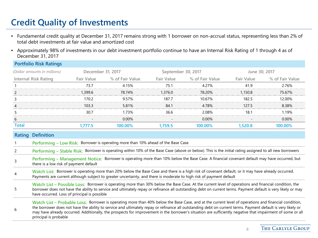# **Credit Quality of Investments**

- Fundamental credit quality at December 31, 2017 remains strong with 1 borrower on non-accrual status, representing less than 2% of total debt investments at fair value and amortized cost
- Approximately 98% of investments in our debt investment portfolio continue to have an Internal Risk Rating of 1 through 4 as of December 31, 2017

| <b>Portfolio Risk Ratings</b> |                   |                 |                    |                            |               |                            |
|-------------------------------|-------------------|-----------------|--------------------|----------------------------|---------------|----------------------------|
| (Dollar amounts in millions)  | December 31, 2017 |                 | September 30, 2017 |                            | June 30, 2017 |                            |
| <b>Internal Risk Rating</b>   | Fair Value        | % of Fair Value |                    | Fair Value % of Fair Value |               | Fair Value % of Fair Value |
|                               | 73 7              | 4 15%           |                    | 4 2 7 %                    | 419           | 276%                       |
|                               | 1.399.6           | 78.74%          | 1,376.0            | 78.20%                     | 1.150.8       | 75.67%                     |
|                               | 170.2             | 957%            | 1877               | 10 67%                     | 182.5         | 12.00%                     |
|                               | १०२ २             | 5.81%           | 84.1               | 4.78%                      | 1275          | 8.38%                      |
|                               | 30 J              | l 73%           | 36 6               | 2.08%                      |               | 1 19%                      |
| 6                             |                   | 0.00%           |                    | $0.00\%$                   |               | $0.00\%$                   |
|                               | .777.5            | INN NN%         |                    | no%                        | 520.8         | 00.00%                     |
|                               |                   |                 |                    |                            |               |                            |

| Rating | <b>Definition</b> |
|--------|-------------------|
|        |                   |

- 1 **Performing – Low Risk:** Borrower is operating more than 10% ahead of the Base Case
- Performing Stable Risk: Borrower is operating within 10% of the Base Case (above or below). This is the initial rating assigned to all new borrowers
- <sup>3</sup> **Performing – Management Notice:** Borrower is operating more than 10% below the Base Case. A financial covenant default may have occurred, but there is a low risk of payment default
- **Watch List:** Borrower is operating more than 20% below the Base Case and there is a high risk of covenant default, or it may have already occurred. Payments are current although subject to greater uncertainty, and there is moderate to high risk of payment default
- 5 **Watch List – Possible Loss:** Borrower is operating more than 30% below the Base Case. At the current level of operations and financial condition, the borrower does not have the ability to service and ultimately repay or refinance all outstanding debt on current terms. Payment default is very likely or may have occurred. Loss of principal is possible

6 **Watch List – Probable Loss:** Borrower is operating more than 40% below the Base Case, and at the current level of operations and financial condition, the borrower does not have the ability to service and ultimately repay or refinance all outstanding debt on current terms. Payment default is very likely or may have already occurred. Additionally, the prospects for improvement in the borrower's situation are sufficiently negative that impairment of some or all principal is probable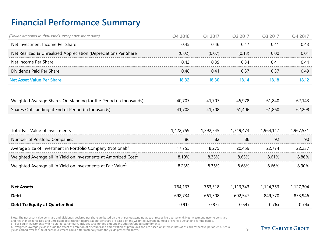# **Financial Performance Summary**

| (Dollar amounts in thousands, except per share data)                        | Q4 2016   | Q1 2017   | Q2 2017   | Q3 2017   | Q4 2017   |
|-----------------------------------------------------------------------------|-----------|-----------|-----------|-----------|-----------|
| Net Investment Income Per Share                                             | 0.45      | 0.46      | 0.47      | 0.41      | 0.43      |
| Net Realized & Unrealized Appreciation (Depreciation) Per Share             | (0.02)    | (0.07)    | (0.13)    | 0.00      | 0.01      |
| Net Income Per Share                                                        | 0.43      | 0.39      | 0.34      | 0.41      | 0.44      |
| Dividends Paid Per Share                                                    | 0.48      | 0.41      | 0.37      | 0.37      | 0.49      |
| <b>Net Asset Value Per Share</b>                                            | 18.32     | 18.30     | 18.14     | 18.18     | 18.12     |
| Weighted Average Shares Outstanding for the Period (in thousands)           | 40,707    | 41,707    | 45,978    | 61,840    | 62,143    |
| Shares Outstanding at End of Period (in thousands)                          | 41,702    | 41,708    | 61,406    | 61,860    | 62,208    |
| <b>Total Fair Value of Investments</b>                                      | 1,422,759 | 1,392,545 | 1,719,473 | 1,964,117 | 1,967,531 |
| Number of Portfolio Companies                                               | 86        | 82        | 86        | 92        | 90        |
| Average Size of Investment in Portfolio Company (Notional) <sup>1</sup>     | 17,755    | 18,275    | 20,459    | 22,774    | 22,237    |
| Weighted Average all-in Yield on Investments at Amortized Cost <sup>2</sup> | 8.19%     | 8.33%     | 8.63%     | 8.61%     | 8.86%     |
| Weighted Average all-in Yield on Investments at Fair Value <sup>2</sup>     | 8.23%     | 8.35%     | 8.68%     | 8.66%     | 8.90%     |
| <b>Net Assets</b>                                                           | 764,137   | 763,318   | 1,113,743 | 1,124,353 | 1,127,304 |
| <b>Debt</b>                                                                 | 692,734   | 661,508   | 602,547   | 849,770   | 833,946   |
| <b>Debt To Equity at Quarter End</b>                                        | 0.91x     | 0.87x     | 0.54x     | 0.76x     | 0.74x     |

Note: The net asset value per share and dividends declared per share are based on the shares outstanding at each respective quarter-end. Net investment income per share<br>and net change in realized and unrealized appreciatio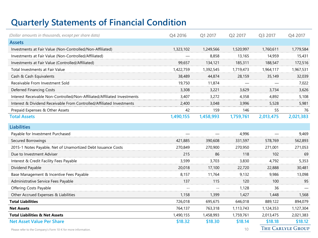# **Quarterly Statements of Financial Condition**

| (Dollar amounts in thousands, except per share data)                     | Q4 2016   | Q1 2017   | Q2 2017   | Q3 2017   | Q4 2017                  |
|--------------------------------------------------------------------------|-----------|-----------|-----------|-----------|--------------------------|
| <b>Assets</b>                                                            |           |           |           |           |                          |
| Investments at Fair Value (Non-Controlled/Non-Affiliated)                | 1,323,102 | 1,249,566 | 1,520,997 | 1,760,611 | 1,779,584                |
| Investments at Fair Value (Non-Controlled/Affiliated)                    |           | 8,858     | 13,165    | 14,959    | 15,431                   |
| Investments at Fair Value (Controlled/Affiliated)                        | 99,657    | 134,121   | 185,311   | 188,547   | 172,516                  |
| Total Investments at Fair Value                                          | 1,422,759 | 1,392,545 | 1,719,473 | 1,964,117 | 1,967,531                |
| Cash & Cash Equivalents                                                  | 38,489    | 44,874    | 28,159    | 35,149    | 32,039                   |
| Receivable From Investment Sold                                          | 19,750    | 11,874    |           |           | 7,022                    |
| <b>Deferred Financing Costs</b>                                          | 3,308     | 3,221     | 3,629     | 3,734     | 3,626                    |
| Interest Receivable Non-Controlled/Non-Affiliated/Affiliated Investments | 3,407     | 3,272     | 4,358     | 4,892     | 5,108                    |
| Interest & Dividend Receivable From Controlled/Affiliated Investments    | 2,400     | 3,048     | 3,996     | 5,528     | 5,981                    |
| Prepaid Expenses & Other Assets                                          | 42        | 159       | 146       | 55        | 76                       |
| <b>Total Assets</b>                                                      | 1,490,155 | 1,458,993 | 1,759,761 | 2,013,475 | 2,021,383                |
| <b>Liabilities</b>                                                       |           |           |           |           |                          |
| Payable for Investment Purchased                                         |           |           | 4,996     |           | 9,469                    |
| Secured Borrowings                                                       | 421,885   | 390,608   | 331,597   | 578,769   | 562,893                  |
| 2015-1 Notes Payable, Net of Unamortized Debt Issuance Costs             | 270,849   | 270,900   | 270,950   | 271,001   | 271,053                  |
| Due to Investment Adviser                                                | 215       | 86        | 118       | 102       | 69                       |
| Interest & Credit Facility Fees Payable                                  | 3,599     | 3,703     | 3,830     | 4,792     | 5,353                    |
| Dividend Payable                                                         | 20,018    | 17,100    | 22,720    | 22,888    | 30,481                   |
| Base Management & Incentive Fees Payable                                 | 8,157     | 11,764    | 9,132     | 9,986     | 13,098                   |
| Administrative Service Fees Payable                                      | 137       | 115       | 120       | 100       | 95                       |
| Offering Costs Payable                                                   |           |           | 1,128     | 36        |                          |
| Other Accrued Expenses & Liabilities                                     | 1,158     | 1,399     | 1,427     | 1,448     | 1,568                    |
| <b>Total Liabilities</b>                                                 | 726,018   | 695,675   | 646,018   | 889,122   | 894,079                  |
| <b>Net Assets</b>                                                        | 764,137   | 763,318   | 1,113,743 | 1,124,353 | 1,127,304                |
| <b>Total Liabilities &amp; Net Assets</b>                                | 1,490,155 | 1,458,993 | 1,759,761 | 2,013,475 | 2,021,383                |
| <b>Net Asset Value Per Share</b>                                         | \$18.32   | \$18.30   | \$18.14   | \$18.18   | \$18.12                  |
| Please refer to the Company's Form 10-K for more information.            |           |           | 10        |           | <b>THE CARLYLE GROUP</b> |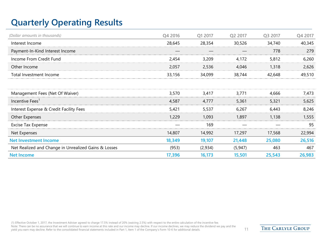# **Quarterly Operating Results**

| (Dollar amounts in thousands)                        | Q4 2016 | Q1 2017 | Q2 2017  | Q3 2017 | Q4 2017 |
|------------------------------------------------------|---------|---------|----------|---------|---------|
| Interest Income                                      | 28,645  | 28,354  | 30,526   | 34,740  | 40,345  |
| Payment-In-Kind Interest Income                      |         |         |          | 778     | 279     |
| Income From Credit Fund                              | 2,454   | 3,209   | 4,172    | 5,812   | 6,260   |
| Other Income                                         | 2,057   | 2,536   | 4,046    | 1,318   | 2,626   |
| Total Investment Income                              | 33,156  | 34,099  | 38,744   | 42,648  | 49,510  |
|                                                      |         |         |          |         |         |
| Management Fees (Net Of Waiver)                      | 3,570   | 3,417   | 3,771    | 4,666   | 7,473   |
| Incentive Fees <sup>1</sup>                          | 4,587   | 4,777   | 5,361    | 5,321   | 5,625   |
| Interest Expense & Credit Facility Fees              | 5,421   | 5,537   | 6,267    | 6,443   | 8,246   |
| Other Expenses                                       | 1,229   | 1,093   | 1,897    | 1,138   | 1,555   |
| Excise Tax Expense                                   |         | 169     |          |         | -95     |
| Net Expenses                                         | 14,807  | 14,992  | 17,297   | 17,568  | 22,994  |
| <b>Net Investment Income</b>                         | 18,349  | 19,107  | 21,448   | 25,080  | 26,516  |
| Net Realized and Change in Unrealized Gains & Losses | (953)   | (2,934) | (5, 947) | 463     | 467     |
| <b>Net Income</b>                                    | 17,396  | 16,173  | 15,501   | 25,543  | 26,983  |

(1) Effective October 1, 2017, the Investment Adviser agreed to charge 17.5% instead of 20% (waiving 2.5%) with respect to the entire calculation of the incentive fee. Note: There can be no assurance that we will continue to earn income at this rate and our income may decline. If our income declines, we may reduce the dividend we pay and the yield you earn may decline. Refer to the consolidated financial statements included in Part 1, Item 1 of the Company's Form 10-K for additional details. 11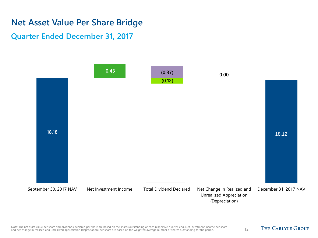## **Net Asset Value Per Share Bridge**

#### **Quarter Ended December 31, 2017**



Note: The net asset value per share and dividends declared per share are based on the shares outstanding at each respective quarter-end. Net investment income per share and net change in realized and unrealized appreciation (depreciation) per share are based on the weighted average number of shares outstanding for the period. <sup>12</sup><br>And net change in realized and unrealized appreciation (de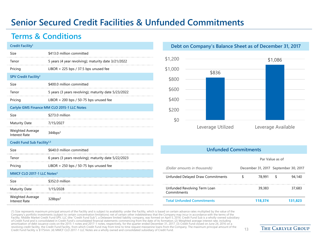# **Senior Secured Credit Facilities & Unfunded Commitments**

## **Terms & Conditions**

| Credit Facility <sup>1</sup>            |                                                      |
|-----------------------------------------|------------------------------------------------------|
| Size                                    | \$413.0 million committed                            |
| Tenor                                   | 5 years (4 year revolving); maturity date 3/21/2022  |
| Pricing                                 | LIBOR $+$ 225 bps / 37.5 bps unused fee              |
| SPV Credit Facility <sup>1</sup>        |                                                      |
| Size                                    | \$400.0 million committed                            |
| Tenor                                   | 5 years (3 years revolving); maturity date 5/23/2022 |
| Pricing                                 | LIBOR $+$ 200 bps / 50-75 bps unused fee             |
|                                         | Carlyle GMS Finance MM CLO 2015-1 LLC Notes          |
| Size                                    | \$273.0 million                                      |
| Maturity Date                           | 7/15/2027                                            |
| Weighted Average<br>Interest Rate       | 344bps <sup>2</sup>                                  |
| Credit Fund Sub Facility <sup>1,3</sup> |                                                      |
| Size                                    | \$640.0 million committed                            |
| Tenor                                   | 6 years (3 years revolving); maturity date 5/22/2023 |
| Pricing                                 | LIBOR $+$ 250 bps / 50-75 bps unused fee             |
| MMCF CLO 2017-1 LLC Notes $4$           |                                                      |
| Size                                    | \$352.0 million                                      |
| <b>Maturity Date</b>                    | 1/15/2028                                            |
|                                         |                                                      |

Weighted Average Interest Rate 328bps<sup>2</sup>

#### **Debt on Company's Balance Sheet as of December 31, 2017**



#### **Unfunded Commitments**

**Par Value as of**

| (Dollar amounts in thousands)               |         | December 31, 2017 September 30, 2017 |
|---------------------------------------------|---------|--------------------------------------|
| Unfunded Delayed Draw Commitments           | 78.991  | 94,140                               |
| Unfunded Revolving Term Loan<br>Commitments | 39,383  | 37,683                               |
| <b>Total Unfunded Commitments</b>           | 118.374 | 131.823                              |

(1) Size represents maximum principal amount of the Facility and is subject to availability under the Facility, which is based on certain advance rates multiplied by the value of the Company's portfolio investments (subject to certain concentration limitations) net of certain other indebtedness that the Company may incur in accordance with the terms of the Facility. Middle Market Credit Fund SPV, LLC (the "Credit Fund Sub"), a Delaware limited liability company, was formed on April 5, 2016. Credit Fund Sub is a wholly-owned subsidiary of Credit Fund and is consolidated in Credit Fund's consolidated financial statements commencing from the date of its formation. (2) Weighted average interest rate, including amortization of debt issuance costs on the 2015-1 notes and 2017-1 notes, respectively, for the quarter ended December 31, 2017. (3) Credit Fund closed on June 24, 2016 on a revolving credit facility, the Credit Fund Facility, from which Credit Fund may from time to time request mezzanine loans from the Company. The maximum principal amount of the and the the foredit Fund. Credit Fund. In the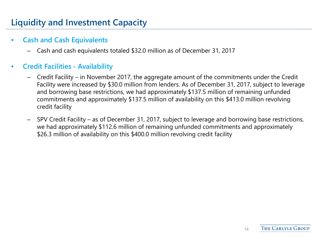# **Liquidity and Investment Capacity**

#### • **Cash and Cash Equivalents**

– Cash and cash equivalents totaled \$32.0 million as of December 31, 2017

#### • **Credit Facilities - Availability**

- Credit Facility in November 2017, the aggregate amount of the commitments under the Credit Facility were increased by \$30.0 million from lenders. As of December 31, 2017, subject to leverage and borrowing base restrictions, we had approximately \$137.5 million of remaining unfunded commitments and approximately \$137.5 million of availability on this \$413.0 million revolving credit facility
- SPV Credit Facility as of December 31, 2017, subject to leverage and borrowing base restrictions, we had approximately \$112.6 million of remaining unfunded commitments and approximately \$26.3 million of availability on this \$400.0 million revolving credit facility